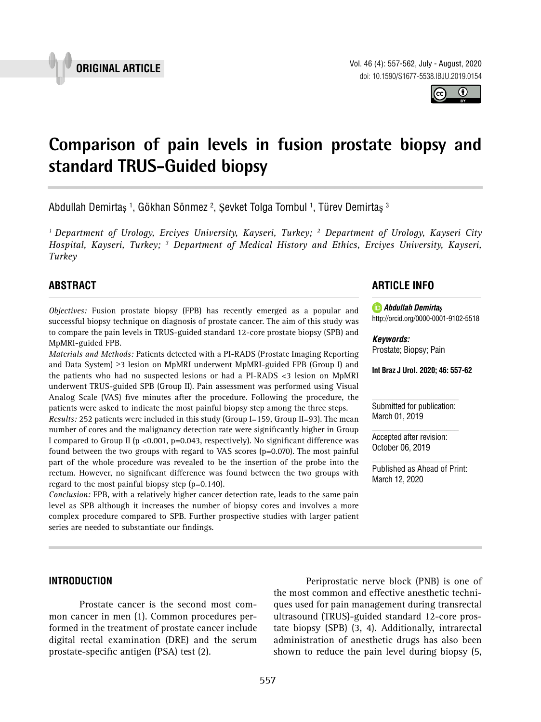



# **Comparison of pain levels in fusion prostate biopsy and standard TRUS-Guided biopsy \_\_\_\_\_\_\_\_\_\_\_\_\_\_\_\_\_\_\_\_\_\_\_\_\_\_\_\_\_\_\_\_\_\_\_\_\_\_\_\_\_\_\_\_\_\_\_**

Abdullah Demirtaş <sup>1</sup>, Gökhan Sönmez <sup>2</sup>, Şevket Tolga Tombul <sup>1</sup>, Türev Demirtaş <sup>3</sup>

*1 Department of Urology, Erciyes University, Kayseri, Turkey; 2 Department of Urology, Kayseri City Hospital, Kayseri, Turkey; 3 Department of Medical History and Ethics, Erciyes University, Kayseri, Turkey*

# **ABSTRACT**

*Objectives:* Fusion prostate biopsy (FPB) has recently emerged as a popular and successful biopsy technique on diagnosis of prostate cancer. The aim of this study was to compare the pain levels in TRUS-guided standard 12-core prostate biopsy (SPB) and MpMRI-guided FPB.

*Materials and Methods:* Patients detected with a PI-RADS (Prostate Imaging Reporting and Data System) ≥3 lesion on MpMRI underwent MpMRI-guided FPB (Group I) and the patients who had no suspected lesions or had a PI-RADS <3 lesion on MpMRI underwent TRUS-guided SPB (Group II). Pain assessment was performed using Visual Analog Scale (VAS) five minutes after the procedure. Following the procedure, the patients were asked to indicate the most painful biopsy step among the three steps.

*Results:* 252 patients were included in this study (Group I=159, Group II=93). The mean number of cores and the malignancy detection rate were significantly higher in Group I compared to Group II (p < 0.001, p=0.043, respectively). No significant difference was found between the two groups with regard to VAS scores (p=0.070). The most painful part of the whole procedure was revealed to be the insertion of the probe into the rectum. However, no significant difference was found between the two groups with regard to the most painful biopsy step (p=0.140).

*Conclusion:* FPB, with a relatively higher cancer detection rate, leads to the same pain level as SPB although it increases the number of biopsy cores and involves a more complex procedure compared to SPB. Further prospective studies with larger patient series are needed to substantiate our findings.

# **ARTICLE INFO**

*Abdullah Demirtaş* http://orcid.org/0000-0001-9102-5518

*Keywords:* Prostate; Biopsy; Pain

**Int Braz J Urol. 2020; 46: 557-62**

Submitted for publication: March 01, 2019

Accepted after revision: October 06, 2019

Published as Ahead of Print: March 12, 2020

#### **INTRODUCTION**

Prostate cancer is the second most common cancer in men (1). Common procedures performed in the treatment of prostate cancer include digital rectal examination (DRE) and the serum prostate-specific antigen (PSA) test (2).

Periprostatic nerve block (PNB) is one of the most common and effective anesthetic techniques used for pain management during transrectal ultrasound (TRUS)-guided standard 12-core prostate biopsy (SPB) (3, 4). Additionally, intrarectal administration of anesthetic drugs has also been shown to reduce the pain level during biopsy (5,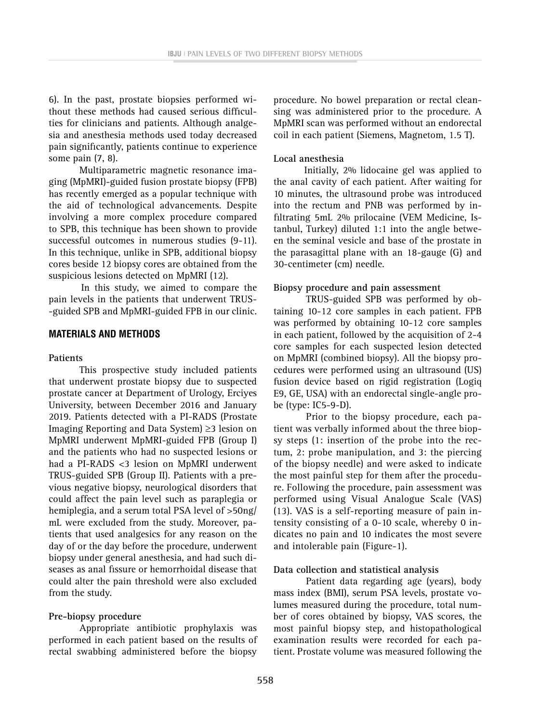6). In the past, prostate biopsies performed without these methods had caused serious difficulties for clinicians and patients. Although analgesia and anesthesia methods used today decreased pain significantly, patients continue to experience some pain (7, 8).

Multiparametric magnetic resonance imaging (MpMRI)-guided fusion prostate biopsy (FPB) has recently emerged as a popular technique with the aid of technological advancements. Despite involving a more complex procedure compared to SPB, this technique has been shown to provide successful outcomes in numerous studies (9-11). In this technique, unlike in SPB, additional biopsy cores beside 12 biopsy cores are obtained from the suspicious lesions detected on MpMRI (12).

In this study, we aimed to compare the pain levels in the patients that underwent TRUS- -guided SPB and MpMRI-guided FPB in our clinic.

#### **MATERIALS AND METHODS**

### **Patients**

This prospective study included patients that underwent prostate biopsy due to suspected prostate cancer at Department of Urology, Erciyes University, between December 2016 and January 2019. Patients detected with a PI-RADS (Prostate Imaging Reporting and Data System) ≥3 lesion on MpMRI underwent MpMRI-guided FPB (Group I) and the patients who had no suspected lesions or had a PI-RADS <3 lesion on MpMRI underwent TRUS-guided SPB (Group II). Patients with a previous negative biopsy, neurological disorders that could affect the pain level such as paraplegia or hemiplegia, and a serum total PSA level of >50ng/ mL were excluded from the study. Moreover, patients that used analgesics for any reason on the day of or the day before the procedure, underwent biopsy under general anesthesia, and had such diseases as anal fissure or hemorrhoidal disease that could alter the pain threshold were also excluded from the study.

#### **Pre-biopsy procedure**

Appropriate antibiotic prophylaxis was performed in each patient based on the results of rectal swabbing administered before the biopsy

procedure. No bowel preparation or rectal cleansing was administered prior to the procedure. A MpMRI scan was performed without an endorectal coil in each patient (Siemens, Magnetom, 1.5 T).

#### **Local anesthesia**

Initially, 2% lidocaine gel was applied to the anal cavity of each patient. After waiting for 10 minutes, the ultrasound probe was introduced into the rectum and PNB was performed by infiltrating 5mL 2% prilocaine (VEM Medicine, Istanbul, Turkey) diluted 1:1 into the angle between the seminal vesicle and base of the prostate in the parasagittal plane with an 18-gauge (G) and 30-centimeter (cm) needle.

#### **Biopsy procedure and pain assessment**

TRUS-guided SPB was performed by obtaining 10-12 core samples in each patient. FPB was performed by obtaining 10-12 core samples in each patient, followed by the acquisition of 2-4 core samples for each suspected lesion detected on MpMRI (combined biopsy). All the biopsy procedures were performed using an ultrasound (US) fusion device based on rigid registration (Logiq E9, GE, USA) with an endorectal single-angle probe (type: IC5-9-D).

Prior to the biopsy procedure, each patient was verbally informed about the three biopsy steps (1: insertion of the probe into the rectum, 2: probe manipulation, and 3: the piercing of the biopsy needle) and were asked to indicate the most painful step for them after the procedure. Following the procedure, pain assessment was performed using Visual Analogue Scale (VAS) (13). VAS is a self-reporting measure of pain intensity consisting of a 0-10 scale, whereby 0 indicates no pain and 10 indicates the most severe and intolerable pain (Figure-1).

#### **Data collection and statistical analysis**

Patient data regarding age (years), body mass index (BMI), serum PSA levels, prostate volumes measured during the procedure, total number of cores obtained by biopsy, VAS scores, the most painful biopsy step, and histopathological examination results were recorded for each patient. Prostate volume was measured following the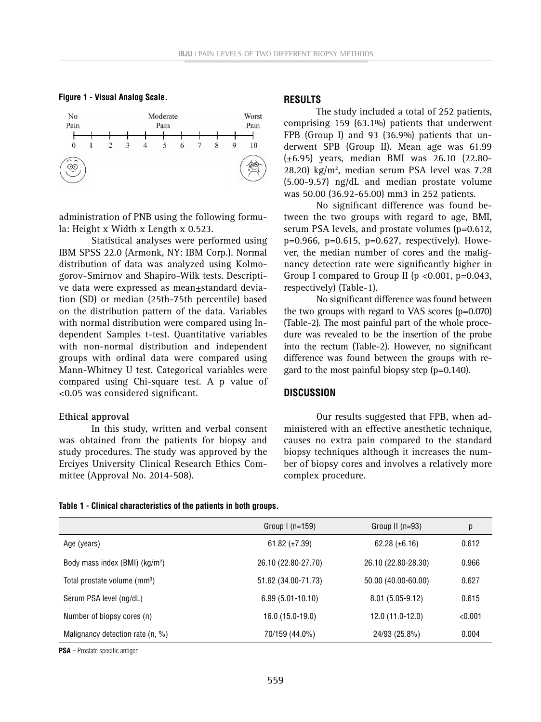



administration of PNB using the following formula: Height x Width x Length x 0.523.

Statistical analyses were performed using IBM SPSS 22.0 (Armonk, NY: IBM Corp.). Normal distribution of data was analyzed using Kolmogorov-Smirnov and Shapiro-Wilk tests. Descriptive data were expressed as mean±standard deviation (SD) or median (25th-75th percentile) based on the distribution pattern of the data. Variables with normal distribution were compared using Independent Samples t-test. Quantitative variables with non-normal distribution and independent groups with ordinal data were compared using Mann-Whitney U test. Categorical variables were compared using Chi-square test. A p value of <0.05 was considered significant.

#### **Ethical approval**

In this study, written and verbal consent was obtained from the patients for biopsy and study procedures. The study was approved by the Erciyes University Clinical Research Ethics Committee (Approval No. 2014-508).

#### **RESULTS**

The study included a total of 252 patients, comprising 159 (63.1%) patients that underwent FPB (Group I) and 93 (36.9%) patients that underwent SPB (Group II). Mean age was 61.99 (±6.95) years, median BMI was 26.10 (22.80- 28.20)  $\text{kg/m}^2$ , median serum PSA level was 7.28 (5.00-9.57) ng/dL and median prostate volume was 50.00 (36.92-65.00) mm3 in 252 patients.

No significant difference was found between the two groups with regard to age, BMI, serum PSA levels, and prostate volumes (p=0.612, p=0.966, p=0.615, p=0.627, respectively). However, the median number of cores and the malignancy detection rate were significantly higher in Group I compared to Group II ( $p < 0.001$ ,  $p = 0.043$ , respectively) (Table-1).

No significant difference was found between the two groups with regard to VAS scores (p=0.070) (Table-2). The most painful part of the whole procedure was revealed to be the insertion of the probe into the rectum (Table-2). However, no significant difference was found between the groups with regard to the most painful biopsy step (p=0.140).

#### **DISCUSSION**

Our results suggested that FPB, when administered with an effective anesthetic technique, causes no extra pain compared to the standard biopsy techniques although it increases the number of biopsy cores and involves a relatively more complex procedure.

|  |  |  | Table 1 - Clinical characteristics of the patients in both groups. |  |  |  |  |  |  |  |  |
|--|--|--|--------------------------------------------------------------------|--|--|--|--|--|--|--|--|
|--|--|--|--------------------------------------------------------------------|--|--|--|--|--|--|--|--|

|                                            | Group $l$ (n=159)   | Group II $(n=93)$   | р       |
|--------------------------------------------|---------------------|---------------------|---------|
| Age (years)                                | 61.82 $(\pm 7.39)$  | $62.28 (\pm 6.16)$  | 0.612   |
| Body mass index (BMI) (kg/m <sup>2</sup> ) | 26.10 (22.80-27.70) | 26.10 (22.80-28.30) | 0.966   |
| Total prostate volume (mm <sup>3</sup> )   | 51.62 (34.00-71.73) | 50.00 (40.00-60.00) | 0.627   |
| Serum PSA level (ng/dL)                    | $6.99(5.01-10.10)$  | $8.01(5.05-9.12)$   | 0.615   |
| Number of biopsy cores (n)                 | 16.0 (15.0-19.0)    | $12.0(11.0-12.0)$   | < 0.001 |
| Malignancy detection rate $(n, %)$         | 70/159 (44.0%)      | 24/93 (25.8%)       | 0.004   |

**PSA** = Prostate specific antigen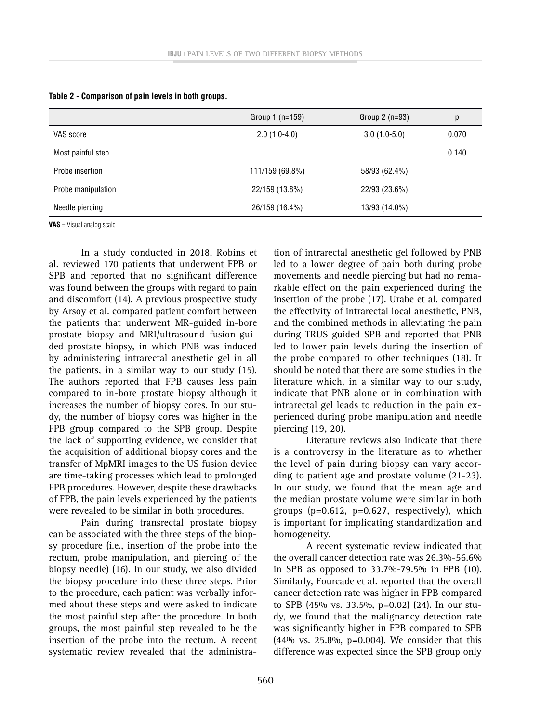|                    | Group $1(n=159)$ | Group $2(n=93)$ | р     |
|--------------------|------------------|-----------------|-------|
| VAS score          | $2.0(1.0-4.0)$   | $3.0(1.0-5.0)$  | 0.070 |
| Most painful step  |                  |                 | 0.140 |
| Probe insertion    | 111/159 (69.8%)  | 58/93 (62.4%)   |       |
| Probe manipulation | 22/159 (13.8%)   | 22/93 (23.6%)   |       |
| Needle piercing    | 26/159 (16.4%)   | 13/93 (14.0%)   |       |

|  | Table 2 - Comparison of pain levels in both groups. |  |  |  |  |
|--|-----------------------------------------------------|--|--|--|--|
|--|-----------------------------------------------------|--|--|--|--|

**VAS** = Visual analog scale

In a study conducted in 2018, Robins et al. reviewed 170 patients that underwent FPB or SPB and reported that no significant difference was found between the groups with regard to pain and discomfort (14). A previous prospective study by Arsoy et al. compared patient comfort between the patients that underwent MR-guided in-bore prostate biopsy and MRI/ultrasound fusion-guided prostate biopsy, in which PNB was induced by administering intrarectal anesthetic gel in all the patients, in a similar way to our study (15). The authors reported that FPB causes less pain compared to in-bore prostate biopsy although it increases the number of biopsy cores. In our study, the number of biopsy cores was higher in the FPB group compared to the SPB group. Despite the lack of supporting evidence, we consider that the acquisition of additional biopsy cores and the transfer of MpMRI images to the US fusion device are time-taking processes which lead to prolonged FPB procedures. However, despite these drawbacks of FPB, the pain levels experienced by the patients were revealed to be similar in both procedures.

Pain during transrectal prostate biopsy can be associated with the three steps of the biopsy procedure (i.e., insertion of the probe into the rectum, probe manipulation, and piercing of the biopsy needle) (16). In our study, we also divided the biopsy procedure into these three steps. Prior to the procedure, each patient was verbally informed about these steps and were asked to indicate the most painful step after the procedure. In both groups, the most painful step revealed to be the insertion of the probe into the rectum. A recent systematic review revealed that the administra-

tion of intrarectal anesthetic gel followed by PNB led to a lower degree of pain both during probe movements and needle piercing but had no remarkable effect on the pain experienced during the insertion of the probe (17). Urabe et al. compared the effectivity of intrarectal local anesthetic, PNB, and the combined methods in alleviating the pain during TRUS-guided SPB and reported that PNB led to lower pain levels during the insertion of the probe compared to other techniques (18). It should be noted that there are some studies in the literature which, in a similar way to our study, indicate that PNB alone or in combination with intrarectal gel leads to reduction in the pain experienced during probe manipulation and needle piercing (19, 20).

Literature reviews also indicate that there is a controversy in the literature as to whether the level of pain during biopsy can vary according to patient age and prostate volume (21-23). In our study, we found that the mean age and the median prostate volume were similar in both groups (p=0.612, p=0.627, respectively), which is important for implicating standardization and homogeneity.

A recent systematic review indicated that the overall cancer detection rate was 26.3%-56.6% in SPB as opposed to 33.7%-79.5% in FPB (10). Similarly, Fourcade et al. reported that the overall cancer detection rate was higher in FPB compared to SPB (45% vs. 33.5%, p=0.02) (24). In our study, we found that the malignancy detection rate was significantly higher in FPB compared to SPB (44% vs. 25.8%, p=0.004). We consider that this difference was expected since the SPB group only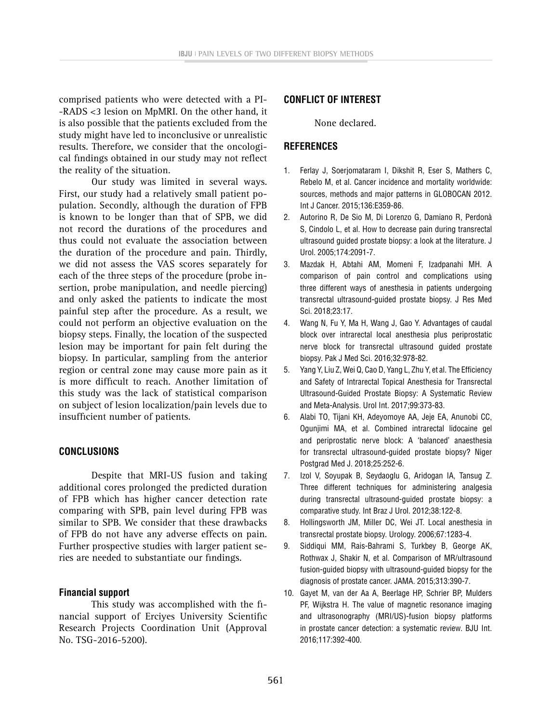comprised patients who were detected with a PI- -RADS <3 lesion on MpMRI. On the other hand, it is also possible that the patients excluded from the study might have led to inconclusive or unrealistic results. Therefore, we consider that the oncological findings obtained in our study may not reflect the reality of the situation.

Our study was limited in several ways. First, our study had a relatively small patient population. Secondly, although the duration of FPB is known to be longer than that of SPB, we did not record the durations of the procedures and thus could not evaluate the association between the duration of the procedure and pain. Thirdly, we did not assess the VAS scores separately for each of the three steps of the procedure (probe insertion, probe manipulation, and needle piercing) and only asked the patients to indicate the most painful step after the procedure. As a result, we could not perform an objective evaluation on the biopsy steps. Finally, the location of the suspected lesion may be important for pain felt during the biopsy. In particular, sampling from the anterior region or central zone may cause more pain as it is more difficult to reach. Another limitation of this study was the lack of statistical comparison on subject of lesion localization/pain levels due to insufficient number of patients.

## **CONCLUSIONS**

Despite that MRI-US fusion and taking additional cores prolonged the predicted duration of FPB which has higher cancer detection rate comparing with SPB, pain level during FPB was similar to SPB. We consider that these drawbacks of FPB do not have any adverse effects on pain. Further prospective studies with larger patient series are needed to substantiate our findings.

## **Financial support**

This study was accomplished with the financial support of Erciyes University Scientific Research Projects Coordination Unit (Approval No. TSG-2016-5200).

## **CONFLICT OF INTEREST**

None declared.

## **REFERENCES**

- 1. Ferlay J, Soerjomataram I, Dikshit R, Eser S, Mathers C, Rebelo M, et al. Cancer incidence and mortality worldwide: sources, methods and major patterns in GLOBOCAN 2012. Int J Cancer. 2015;136:E359-86.
- 2. Autorino R, De Sio M, Di Lorenzo G, Damiano R, Perdonà S, Cindolo L, et al. How to decrease pain during transrectal ultrasound guided prostate biopsy: a look at the literature. J Urol. 2005;174:2091-7.
- 3. Mazdak H, Abtahi AM, Momeni F, Izadpanahi MH. A comparison of pain control and complications using three different ways of anesthesia in patients undergoing transrectal ultrasound-guided prostate biopsy. J Res Med Sci. 2018;23:17.
- 4. Wang N, Fu Y, Ma H, Wang J, Gao Y. Advantages of caudal block over intrarectal local anesthesia plus periprostatic nerve block for transrectal ultrasound guided prostate biopsy. Pak J Med Sci. 2016;32:978-82.
- 5. Yang Y, Liu Z, Wei Q, Cao D, Yang L, Zhu Y, et al. The Efficiency and Safety of Intrarectal Topical Anesthesia for Transrectal Ultrasound-Guided Prostate Biopsy: A Systematic Review and Meta-Analysis. Urol Int. 2017;99:373-83.
- 6. Alabi TO, Tijani KH, Adeyomoye AA, Jeje EA, Anunobi CC, Ogunjimi MA, et al. Combined intrarectal lidocaine gel and periprostatic nerve block: A 'balanced' anaesthesia for transrectal ultrasound-guided prostate biopsy? Niger Postgrad Med J. 2018;25:252-6.
- 7. Izol V, Soyupak B, Seydaoglu G, Aridogan IA, Tansug Z. Three different techniques for administering analgesia during transrectal ultrasound-guided prostate biopsy: a comparative study. Int Braz J Urol. 2012;38:122-8.
- 8. Hollingsworth JM, Miller DC, Wei JT. Local anesthesia in transrectal prostate biopsy. Urology. 2006;67:1283-4.
- 9. Siddiqui MM, Rais-Bahrami S, Turkbey B, George AK, Rothwax J, Shakir N, et al. Comparison of MR/ultrasound fusion-guided biopsy with ultrasound-guided biopsy for the diagnosis of prostate cancer. JAMA. 2015;313:390-7.
- 10. Gayet M, van der Aa A, Beerlage HP, Schrier BP, Mulders PF, Wijkstra H. The value of magnetic resonance imaging and ultrasonography (MRI/US)-fusion biopsy platforms in prostate cancer detection: a systematic review. BJU Int. 2016;117:392-400.